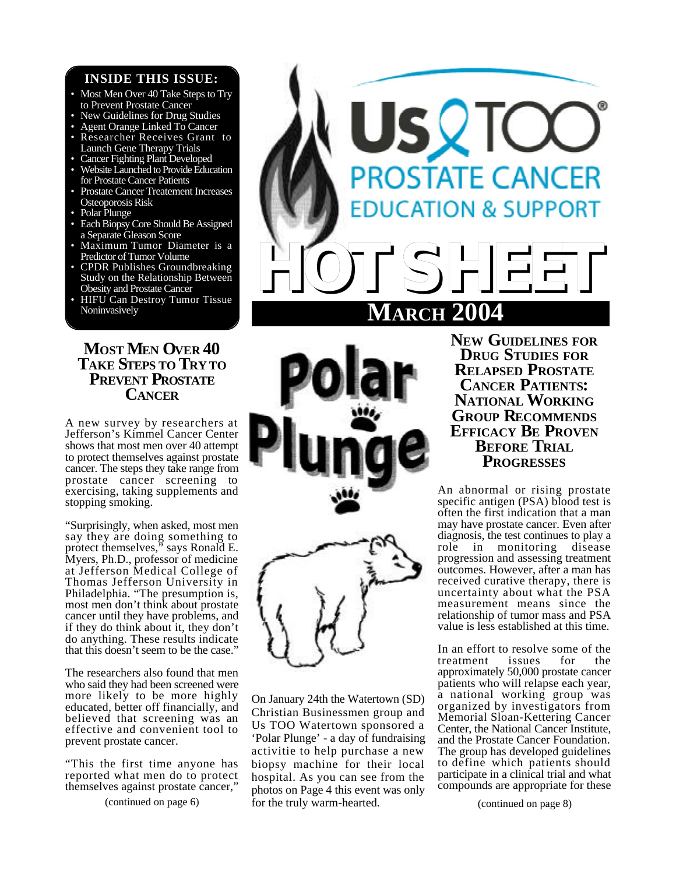## **INSIDE THIS ISSUE:**

- Most Men Over 40 Take Steps to Try to Prevent Prostate Cancer
- New Guidelines for Drug Studies
- Agent Orange Linked To Cancer
- Researcher Receives Grant to Launch Gene Therapy Trials
- Cancer Fighting Plant Developed
- Website Launched to Provide Education for Prostate Cancer Patients
- Prostate Cancer Treatement Increases Osteoporosis Risk
- Polar Plunge
- Each Biopsy Core Should Be Assigned a Separate Gleason Score
- Maximum Tumor Diameter is a Predictor of Tumor Volume
- CPDR Publishes Groundbreaking Study on the Relationship Between Obesity and Prostate Cancer
- HIFU Can Destroy Tumor Tissue Noninvasively

# **MOST MEN OVER 40 TAKE STEPS TO TRY TO PREVENT PROSTATE CANCER**

A new survey by researchers at Jefferson's Kimmel Cancer Center shows that most men over 40 attempt to protect themselves against prostate cancer. The steps they take range from prostate cancer screening to exercising, taking supplements and stopping smoking.

"Surprisingly, when asked, most men say they are doing something to protect themselves," says Ronald E. Myers, Ph.D., professor of medicine at Jefferson Medical College of Thomas Jefferson University in Philadelphia. "The presumption is, most men don't think about prostate cancer until they have problems, and if they do think about it, they don't do anything. These results indicate that this doesn't seem to be the case."

The researchers also found that men who said they had been screened were more likely to be more highly educated, better off financially, and believed that screening was an effective and convenient tool to prevent prostate cancer.

"This the first time anyone has reported what men do to protect themselves against prostate cancer,







(continued on page 6) (continued on page 8) for the truly warm-hearted. On January 24th the Watertown (SD) Christian Businessmen group and Us TOO Watertown sponsored a 'Polar Plunge' - a day of fundraising activitie to help purchase a new biopsy machine for their local hospital. As you can see from the photos on Page 4 this event was only

**NEW GUIDELINES FOR DRUG STUDIES FOR RELAPSED PROSTATE CANCER PATIENTS: NATIONAL WORKING GROUP RECOMMENDS EFFICACY BE PROVEN BEFORE TRIAL PROGRESSES**

An abnormal or rising prostate specific antigen (PSA) blood test is often the first indication that a man may have prostate cancer. Even after diagnosis, the test continues to play a role in monitoring disease progression and assessing treatment outcomes. However, after a man has received curative therapy, there is uncertainty about what the PSA measurement means since the relationship of tumor mass and PSA value is less established at this time.

In an effort to resolve some of the treatment issues for the approximately 50,000 prostate cancer patients who will relapse each year, a national working group was organized by investigators from Memorial Sloan-Kettering Cancer Center, the National Cancer Institute, and the Prostate Cancer Foundation. The group has developed guidelines to define which patients should participate in a clinical trial and what compounds are appropriate for these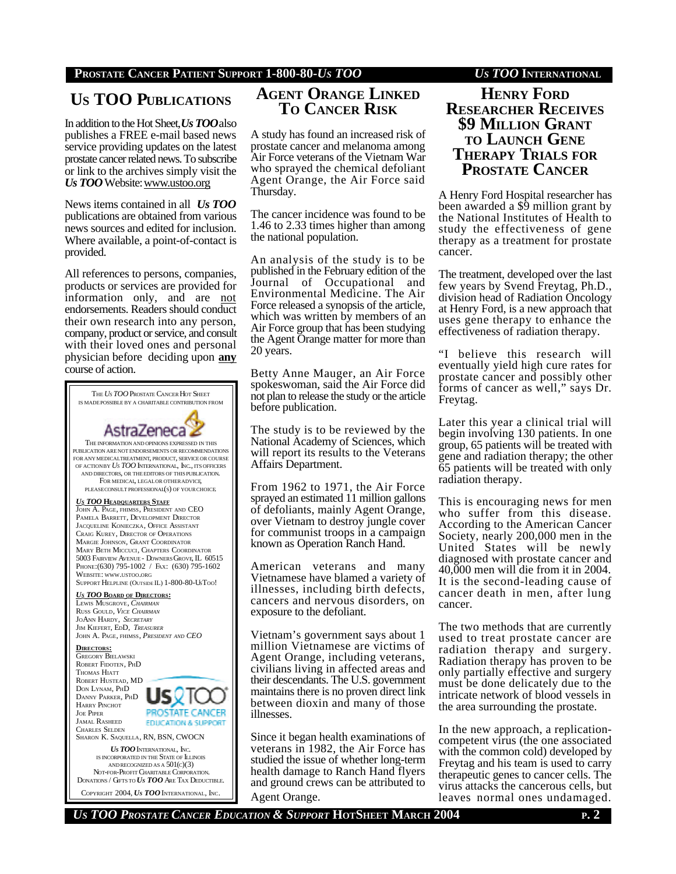# **US TOO PUBLICATIONS**

In addition to the Hot Sheet, *Us TOO*also publishes a FREE e-mail based news service providing updates on the latest prostate cancer related news. To subscribe or link to the archives simply visit the *Us TOO* Website: www.ustoo.org

News items contained in all *Us TOO* publications are obtained from various news sources and edited for inclusion. Where available, a point-of-contact is provided.

All references to persons, companies, products or services are provided for information only, and are not endorsements. Readers should conduct their own research into any person, company, product or service, and consult with their loved ones and personal physician before deciding upon **any** course of action.

THE *US TOO* PROSTATE CANCER HOT SHEET IS MADEPOSSIBLE BY A CHARITABLE CONTRIBUTION FROM AstraZeneca THE INFORMATION AND OPINIONS EXPRESSED IN THIS PUBLICATION ARE NOT ENDORSEMENTS OR RECOMMENDATIONS FOR ANY MEDICALTREATMENT, PRODUCT, SERVICEOR COURSE OF ACTIONBY *US TOO* INTERNATIONAL, INC., ITS OFFICERS AND DIRECTORS, OR THE EDITORS OF THIS PUBLICATION. FOR MEDICAL, LEGAL OR OTHER ADVICE, PLEASECONSULT PROFESSIONAL(S) OF YOURCHOICE. *U<sup>S</sup> TOO* **HEADQUARTERS STAFF** JOHN A. PAGE, FHIMSS, PRESIDENT AND CEO PAMELA BARRETT, DEVELOPMENT DIRECTOR JACQUELINE KONIECZKA, OFFICE ASSISTANT CRAIG KUREY, DIRECTOR OF OPERATIONS MARGIE JOHNSON, GRANT COORDINATOR MARY BETH MICCUCI, CHAPTERS COORDINATOR 5003 FAIRVIEW AVENUE - DOWNERS GROVE, IL 60515 PHONE:(630) 795-1002 / FAX: (630) 795-1602 WEBSITE: WWW.USTOO.ORG SUPPORT HELPLINE (OUTSIDE IL) 1-800-80-USTOO! *U<sup>S</sup> TOO* **BOARD OF DIRECTORS:** LEWIS MUSGROVE, *CHAIRMAN* RUSS GOULD, *VICE CHAIRMAN* JOANN HARDY, *SECRETARY* JIM KIEFERT, EDD, *TREASURER* JOHN A. PAGE, FHIMSS, *PRESIDENT AND CEO* **DIRECTORS:** GREGORY BIELAWSKI ROBERT FIDOTEN, PHD THOMAS HIATT ROBERT HUSTEAD, MD DON LYNAM, PHD DANNY PARKER, PHD **HARRY PINCHOT** JOE PIPER PROSTATE CANCER JAMAL RASHEED **EDUCATION & SUPPORT** CHARLES SELDEN SHARON K. SAQUELLA, RN, BSN, CWOCN *US TOO* INTERNATIONAL, INC. IS INCORPORATED IN THE STATE OF ILLINOIS AND RECOGNIZED AS A  $501(c)(3)$  NOT-FOR-PROFIT CHARITABLE CORPORATION. DONATIONS / GIFTS TO *US TOO* ARE TAX DEDUCTIBLE.

COPYRIGHT 2004, *US TOO* INTERNATIONAL, INC.

# **AGENT ORANGE LINKED TO CANCER RISK**

A study has found an increased risk of prostate cancer and melanoma among Air Force veterans of the Vietnam War who sprayed the chemical defoliant Agent Orange, the Air Force said Thursday.

The cancer incidence was found to be 1.46 to 2.33 times higher than among the national population.

An analysis of the study is to be published in the February edition of the Journal of Occupational and Environmental Medicine. The Air Force released a synopsis of the article, which was written by members of an Air Force group that has been studying the Agent Orange matter for more than 20 years.

Betty Anne Mauger, an Air Force spokeswoman, said the Air Force did not plan to release the study or the article before publication.

The study is to be reviewed by the National Academy of Sciences, which will report its results to the Veterans Affairs Department.

From 1962 to 1971, the Air Force sprayed an estimated 11 million gallons of defoliants, mainly Agent Orange, over Vietnam to destroy jungle cover for communist troops in a campaign known as Operation Ranch Hand.

American veterans and many Vietnamese have blamed a variety of illnesses, including birth defects, cancers and nervous disorders, on exposure to the defoliant.

Vietnam's government says about 1 million Vietnamese are victims of Agent Orange, including veterans, civilians living in affected areas and their descendants. The U.S. government maintains there is no proven direct link between dioxin and many of those illnesses.

Since it began health examinations of veterans in 1982, the Air Force has studied the issue of whether long-term health damage to Ranch Hand flyers and ground crews can be attributed to Agent Orange.

## **HENRY FORD RESEARCHER RECEIVES \$9 MILLION GRANT TO LAUNCH GENE THERAPY TRIALS FOR PROSTATE CANCER**

A Henry Ford Hospital researcher has been awarded a \$9 million grant by the National Institutes of Health to study the effectiveness of gene therapy as a treatment for prostate cancer.

The treatment, developed over the last few years by Svend Freytag, Ph.D., division head of Radiation Oncology at Henry Ford, is a new approach that uses gene therapy to enhance the effectiveness of radiation therapy.

"I believe this research will eventually yield high cure rates for prostate cancer and possibly other forms of cancer as well," says Dr. Freytag.

Later this year a clinical trial will begin involving 130 patients. In one group, 65 patients will be treated with gene and radiation therapy; the other 65 patients will be treated with only radiation therapy.

This is encouraging news for men who suffer from this disease. According to the American Cancer Society, nearly 200,000 men in the United States will be newly diagnosed with prostate cancer and 40,000 men will die from it in 2004. It is the second-leading cause of cancer death in men, after lung cancer.

The two methods that are currently used to treat prostate cancer are radiation therapy and surgery. Radiation therapy has proven to be only partially effective and surgery must be done delicately due to the intricate network of blood vessels in the area surrounding the prostate.

In the new approach, a replicationcompetent virus (the one associated with the common cold) developed by Freytag and his team is used to carry therapeutic genes to cancer cells. The virus attacks the cancerous cells, but leaves normal ones undamaged.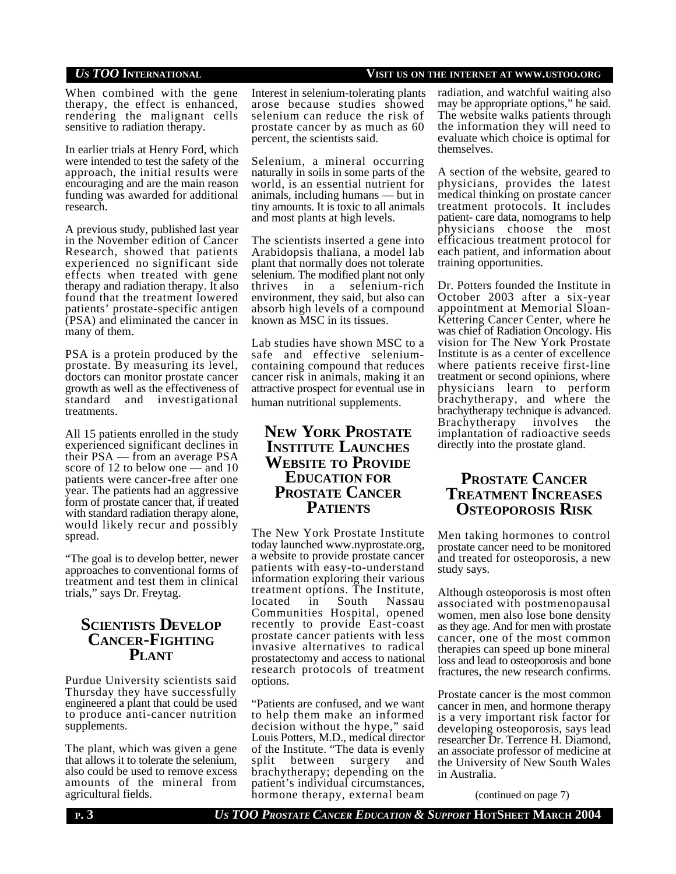## *US TOO* **INTERNATIONAL VISIT US ON THE INTERNET AT WWW.USTOO.ORG**

When combined with the gene therapy, the effect is enhanced, rendering the malignant cells sensitive to radiation therapy.

In earlier trials at Henry Ford, which were intended to test the safety of the approach, the initial results were encouraging and are the main reason funding was awarded for additional research.

A previous study, published last year in the November edition of Cancer Research, showed that patients experienced no significant side effects when treated with gene therapy and radiation therapy. It also found that the treatment lowered patients' prostate-specific antigen (PSA) and eliminated the cancer in many of them.

PSA is a protein produced by the prostate. By measuring its level, doctors can monitor prostate cancer growth as well as the effectiveness of standard and investigational treatments.

All 15 patients enrolled in the study experienced significant declines in their PSA — from an average PSA score of 12 to below one — and 10 patients were cancer-free after one year. The patients had an aggressive form of prostate cancer that, if treated with standard radiation therapy alone, would likely recur and possibly spread.

"The goal is to develop better, newer approaches to conventional forms of treatment and test them in clinical trials," says Dr. Freytag.

## **SCIENTISTS DEVELOP CANCER-FIGHTING PLANT**

Purdue University scientists said Thursday they have successfully engineered a plant that could be used to produce anti-cancer nutrition supplements.

The plant, which was given a gene that allows it to tolerate the selenium, also could be used to remove excess amounts of the mineral from agricultural fields.

Interest in selenium-tolerating plants arose because studies showed selenium can reduce the risk of prostate cancer by as much as 60 percent, the scientists said.

Selenium, a mineral occurring naturally in soils in some parts of the world, is an essential nutrient for animals, including humans — but in tiny amounts. It is toxic to all animals and most plants at high levels.

The scientists inserted a gene into Arabidopsis thaliana, a model lab plant that normally does not tolerate selenium. The modified plant not only<br>thrives in a selenium-rich selenium-rich environment, they said, but also can absorb high levels of a compound known as MSC in its tissues.

Lab studies have shown MSC to a safe and effective seleniumcontaining compound that reduces cancer risk in animals, making it an attractive prospect for eventual use in human nutritional supplements.

## **NEW YORK PROSTATE INSTITUTE LAUNCHES WEBSITE TO PROVIDE EDUCATION FOR PROSTATE CANCER PATIENTS**

The New York Prostate Institute today launched www.nyprostate.org, a website to provide prostate cancer patients with easy-to-understand information exploring their various treatment options. The Institute, located in South Nassau Communities Hospital, opened recently to provide East-coast prostate cancer patients with less invasive alternatives to radical prostatectomy and access to national research protocols of treatment options.

"Patients are confused, and we want to help them make an informed decision without the hype," said Louis Potters, M.D., medical director of the Institute. "The data is evenly split between surgery and brachytherapy; depending on the patient's individual circumstances, hormone therapy, external beam

radiation, and watchful waiting also may be appropriate options," he said. The website walks patients through the information they will need to evaluate which choice is optimal for themselves.

A section of the website, geared to physicians, provides the latest medical thinking on prostate cancer treatment protocols. It includes patient- care data, nomograms to help physicians choose the most efficacious treatment protocol for each patient, and information about training opportunities.

Dr. Potters founded the Institute in October 2003 after a six-year appointment at Memorial Sloan-Kettering Cancer Center, where he was chief of Radiation Oncology. His vision for The New York Prostate Institute is as a center of excellence where patients receive first-line treatment or second opinions, where physicians learn to perform brachytherapy, and where the brachytherapy technique is advanced. Brachytherapy involves the implantation of radioactive seeds directly into the prostate gland.

## **PROSTATE CANCER TREATMENT INCREASES OSTEOPOROSIS RISK**

Men taking hormones to control prostate cancer need to be monitored and treated for osteoporosis, a new study says.

Although osteoporosis is most often associated with postmenopausal women, men also lose bone density as they age. And for men with prostate cancer, one of the most common therapies can speed up bone mineral loss and lead to osteoporosis and bone fractures, the new research confirms.

Prostate cancer is the most common cancer in men, and hormone therapy is a very important risk factor for developing osteoporosis, says lead researcher Dr. Terrence H. Diamond, an associate professor of medicine at the University of New South Wales in Australia.

(continued on page 7)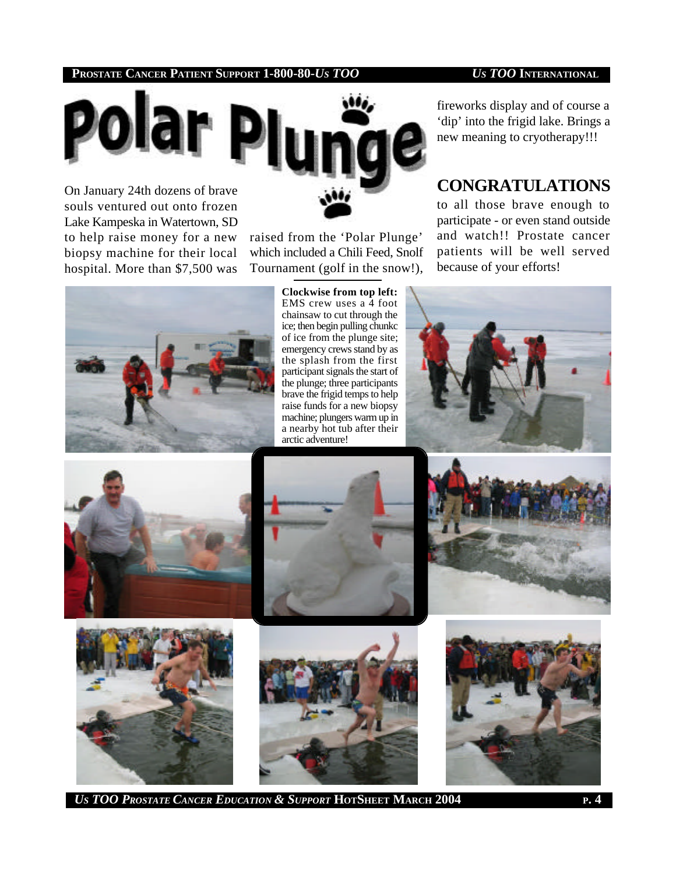

Lake Kampeska in Watertown, SD to help raise money for a new biopsy machine for their local hospital. More than \$7,500 was

raised from the 'Polar Plunge' which included a Chili Feed, Snolf Tournament (golf in the snow!),

fireworks display and of course a 'dip' into the frigid lake. Brings a new meaning to cryotherapy!!!

# **CONGRATULATIONS**

to all those brave enough to participate - or even stand outside and watch!! Prostate cancer patients will be well served because of your efforts!



**Clockwise from top left:** EMS crew uses a 4 foot chainsaw to cut through the ice; then begin pulling chunkc of ice from the plunge site; emergency crews stand by as the splash from the first participant signals the start of the plunge; three participants brave the frigid temps to help raise funds for a new biopsy machine; plungers warm up in a nearby hot tub after their arctic adventure!















*US TOO PROSTATE CANCER EDUCATION & SUPPORT* **HOTSHEET MARCH 2004 <sup>P</sup>. 4**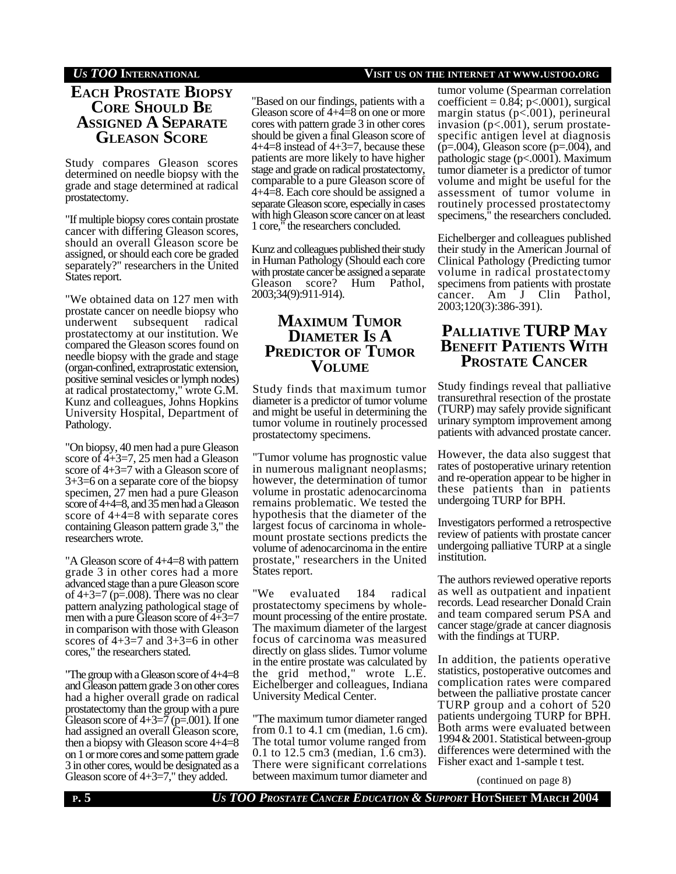## **EACH PROSTATE BIOPSY CORE SHOULD B<sup>E</sup> ASSIGNED A SEPARATE GLEASON SCORE**

Study compares Gleason scores determined on needle biopsy with the grade and stage determined at radical prostatectomy.

"If multiple biopsy cores contain prostate cancer with differing Gleason scores, should an overall Gleason score be assigned, or should each core be graded separately?" researchers in the United States report.

"We obtained data on 127 men with prostate cancer on needle biopsy who underwent subsequent radical prostatectomy at our institution. We compared the Gleason scores found on needle biopsy with the grade and stage (organ-confined, extraprostatic extension, positive seminal vesicles or lymph nodes) at radical prostatectomy," wrote G.M. Kunz and colleagues, Johns Hopkins University Hospital, Department of Pathology.

"On biopsy, 40 men had a pure Gleason score of 4+3=7, 25 men had a Gleason score of 4+3=7 with a Gleason score of 3+3=6 on a separate core of the biopsy specimen, 27 men had a pure Gleason score of 4+4=8, and 35 men had a Gleason score of 4+4=8 with separate cores containing Gleason pattern grade 3," the researchers wrote.

"A Gleason score of 4+4=8 with pattern grade 3 in other cores had a more advanced stage than a pure Gleason score of 4+3=7 (p=.008). There was no clear pattern analyzing pathological stage of men with a pure Gleason score of  $4+3=7$ in comparison with those with Gleason scores of  $4+3=7$  and  $3+3=6$  in other cores," the researchers stated.

"The group with a Gleason score of 4+4=8 and Gleason pattern grade 3 on other cores had a higher overall grade on radical prostatectomy than the group with a pure Gleason score of  $4+3=7$  (p=.001). If one had assigned an overall Gleason score, then a biopsy with Gleason score 4+4=8 on 1 or more cores and some pattern grade 3 in other cores, would be designated as a Gleason score of 4+3=7," they added.

### *US TOO* **INTERNATIONAL VISIT US ON THE INTERNET AT WWW.USTOO.ORG**

"Based on our findings, patients with a Gleason score of 4+4=8 on one or more cores with pattern grade 3 in other cores should be given a final Gleason score of 4+4=8 instead of 4+3=7, because these patients are more likely to have higher stage and grade on radical prostatectomy, comparable to a pure Gleason score of 4+4=8. Each core should be assigned a separate Gleason score, especially in cases with high Gleason score cancer on at least 1 core," the researchers concluded.

Kunz and colleagues published their study in Human Pathology (Should each core with prostate cancer be assigned a separate Gleason score? Hum Pathol, 2003;34(9):911-914).

## **MAXIMUM TUMOR DIAMETER IS A PREDICTOR OF TUMOR VOLUME**

Study finds that maximum tumor diameter is a predictor of tumor volume and might be useful in determining the tumor volume in routinely processed prostatectomy specimens.

"Tumor volume has prognostic value in numerous malignant neoplasms; however, the determination of tumor volume in prostatic adenocarcinoma remains problematic. We tested the hypothesis that the diameter of the largest focus of carcinoma in wholemount prostate sections predicts the volume of adenocarcinoma in the entire prostate," researchers in the United States report.

"We evaluated 184 radical prostatectomy specimens by wholemount processing of the entire prostate. The maximum diameter of the largest focus of carcinoma was measured directly on glass slides. Tumor volume in the entire prostate was calculated by the grid method," wrote L.E. Eichelberger and colleagues, Indiana University Medical Center.

"The maximum tumor diameter ranged from 0.1 to 4.1 cm (median, 1.6 cm). The total tumor volume ranged from 0.1 to 12.5 cm3 (median, 1.6 cm3). There were significant correlations between maximum tumor diameter and

tumor volume (Spearman correlation coefficient =  $0.84$ ; p<.0001), surgical margin status (p<.001), perineural invasion (p<.001), serum prostatespecific antigen level at diagnosis  $(p=.004)$ , Gleason score  $(p=.004)$ , and pathologic stage (p<.0001). Maximum tumor diameter is a predictor of tumor volume and might be useful for the assessment of tumor volume in routinely processed prostatectomy specimens," the researchers concluded.

Eichelberger and colleagues published their study in the American Journal of Clinical Pathology (Predicting tumor volume in radical prostatectomy specimens from patients with prostate cancer. Am J Clin Pathol, 2003;120(3):386-391).

## **PALLIATIVE TURP MAY BENEFIT PATIENTS WITH PROSTATE CANCER**

Study findings reveal that palliative transurethral resection of the prostate (TURP) may safely provide significant urinary symptom improvement among patients with advanced prostate cancer.

However, the data also suggest that rates of postoperative urinary retention and re-operation appear to be higher in these patients than in patients undergoing TURP for BPH.

Investigators performed a retrospective review of patients with prostate cancer undergoing palliative TURP at a single institution.

The authors reviewed operative reports as well as outpatient and inpatient records. Lead researcher Donald Crain and team compared serum PSA and cancer stage/grade at cancer diagnosis with the findings at TURP.

In addition, the patients operative statistics, postoperative outcomes and complication rates were compared between the palliative prostate cancer TURP group and a cohort of 520 patients undergoing TURP for BPH. Both arms were evaluated between 1994&2001. Statistical between-group differences were determined with the Fisher exact and 1-sample t test.

(continued on page 8)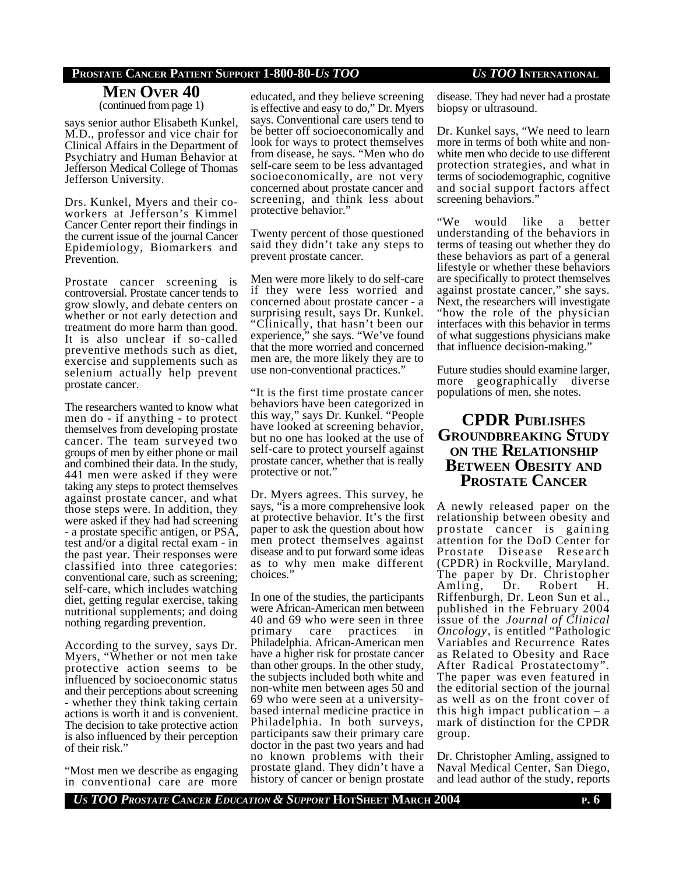#### **MEN OVER 40** (continued from page 1)

says senior author Elisabeth Kunkel, M.D., professor and vice chair for Clinical Affairs in the Department of Psychiatry and Human Behavior at Jefferson Medical College of Thomas Jefferson University.

Drs. Kunkel, Myers and their coworkers at Jefferson's Kimmel Cancer Center report their findings in the current issue of the journal Cancer Epidemiology, Biomarkers and Prevention.

Prostate cancer screening is controversial. Prostate cancer tends to grow slowly, and debate centers on whether or not early detection and treatment do more harm than good. It is also unclear if so-called preventive methods such as diet, exercise and supplements such as selenium actually help prevent prostate cancer.

The researchers wanted to know what men do - if anything - to protect themselves from developing prostate cancer. The team surveyed two groups of men by either phone or mail and combined their data. In the study, 441 men were asked if they were taking any steps to protect themselves against prostate cancer, and what those steps were. In addition, they were asked if they had had screening - a prostate specific antigen, or PSA, test and/or a digital rectal exam - in the past year. Their responses were classified into three categories: conventional care, such as screening; self-care, which includes watching diet, getting regular exercise, taking nutritional supplements; and doing nothing regarding prevention.

According to the survey, says Dr. Myers, "Whether or not men take protective action seems to be influenced by socioeconomic status and their perceptions about screening - whether they think taking certain actions is worth it and is convenient. The decision to take protective action is also influenced by their perception of their risk."

"Most men we describe as engaging in conventional care are more educated, and they believe screening is effective and easy to do," Dr. Myers says. Conventional care users tend to be better off socioeconomically and look for ways to protect themselves from disease, he says. "Men who do self-care seem to be less advantaged socioeconomically, are not very concerned about prostate cancer and screening, and think less about protective behavior."

Twenty percent of those questioned said they didn't take any steps to prevent prostate cancer.

Men were more likely to do self-care if they were less worried and concerned about prostate cancer - a surprising result, says Dr. Kunkel. "Clinically, that hasn't been our experience," she says. "We've found that the more worried and concerned men are, the more likely they are to use non-conventional practices."

"It is the first time prostate cancer behaviors have been categorized in this way," says Dr. Kunkel. "People have looked at screening behavior, but no one has looked at the use of self-care to protect yourself against prostate cancer, whether that is really protective or not."

Dr. Myers agrees. This survey, he says, "is a more comprehensive look at protective behavior. It's the first paper to ask the question about how men protect themselves against disease and to put forward some ideas as to why men make different choices."

In one of the studies, the participants were African-American men between 40 and 69 who were seen in three primary care practices in Philadelphia. African-American men have a higher risk for prostate cancer than other groups. In the other study, the subjects included both white and non-white men between ages 50 and 69 who were seen at a universitybased internal medicine practice in Philadelphia. In both surveys, participants saw their primary care doctor in the past two years and had no known problems with their prostate gland. They didn't have a history of cancer or benign prostate

disease. They had never had a prostate biopsy or ultrasound.

Dr. Kunkel says, "We need to learn more in terms of both white and nonwhite men who decide to use different protection strategies, and what in terms of sociodemographic, cognitive and social support factors affect screening behaviors."

"We would like a better understanding of the behaviors in terms of teasing out whether they do these behaviors as part of a general lifestyle or whether these behaviors are specifically to protect themselves against prostate cancer," she says. Next, the researchers will investigate "how the role of the physician interfaces with this behavior in terms of what suggestions physicians make that influence decision-making."

Future studies should examine larger, more geographically diverse populations of men, she notes.

## **CPDR PUBLISHES GROUNDBREAKING STUDY ON THE RELATIONSHIP BETWEEN OBESITY AND PROSTATE CANCER**

A newly released paper on the relationship between obesity and prostate cancer is gaining attention for the DoD Center for Prostate Disease Research (CPDR) in Rockville, Maryland. The paper by Dr. Christopher<br>Amling. Dr. Robert H. Amling, Dr. Robert H. Riffenburgh, Dr. Leon Sun et al., published in the February 2004 issue of the *Journal of Clinical Oncology*, is entitled "Pathologic Variables and Recurrence Rates as Related to Obesity and Race After Radical Prostatectomy". The paper was even featured in the editorial section of the journal as well as on the front cover of this high impact publication – a mark of distinction for the CPDR group.

Dr. Christopher Amling, assigned to Naval Medical Center, San Diego, and lead author of the study, reports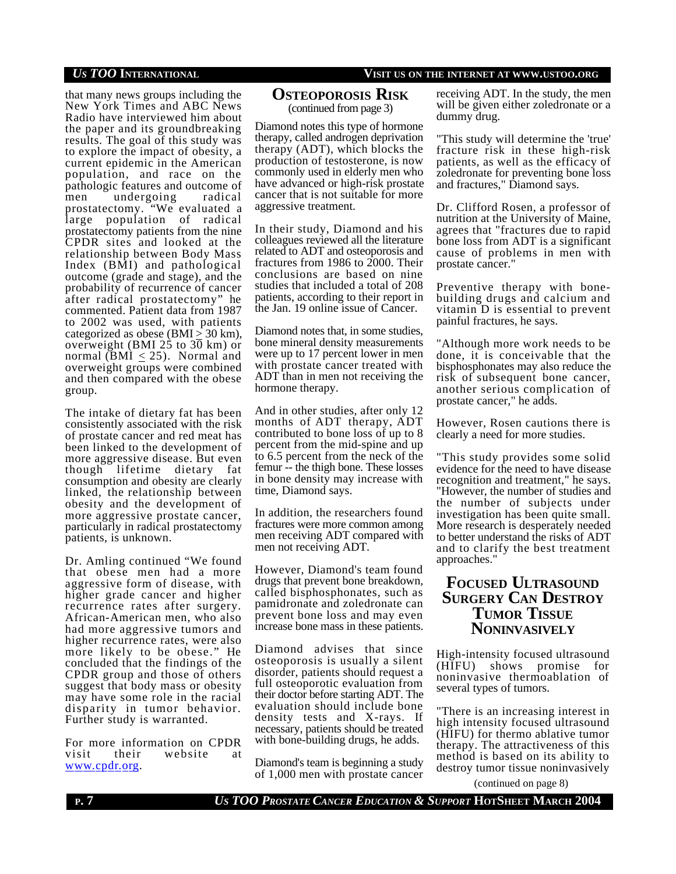that many news groups including the New York Times and ABC News Radio have interviewed him about the paper and its groundbreaking results. The goal of this study was to explore the impact of obesity, a current epidemic in the American population, and race on the pathologic features and outcome of men undergoing radical prostatectomy. "We evaluated a large population of radical prostatectomy patients from the nine CPDR sites and looked at the relationship between Body Mass Index (BMI) and pathological outcome (grade and stage), and the probability of recurrence of cancer after radical prostatectomy" he commented. Patient data from 1987 to 2002 was used, with patients categorized as obese (BMI  $\geq$  30 km), overweight (BMI 25 to  $3\overline{0}$  km) or normal (BMI  $\leq$  25). Normal and overweight groups were combined and then compared with the obese group.

The intake of dietary fat has been consistently associated with the risk of prostate cancer and red meat has been linked to the development of more aggressive disease. But even though lifetime dietary fat consumption and obesity are clearly linked, the relationship between obesity and the development of more aggressive prostate cancer, particularly in radical prostatectomy patients, is unknown.

Dr. Amling continued "We found that obese men had a more aggressive form of disease, with higher grade cancer and higher recurrence rates after surgery. African-American men, who also had more aggressive tumors and higher recurrence rates, were also more likely to be obese." He concluded that the findings of the CPDR group and those of others suggest that body mass or obesity may have some role in the racial disparity in tumor behavior. Further study is warranted.

For more information on CPDR visit their website at www.cpdr.org.

### **OSTEOPOROSIS RISK** (continued from page 3)

Diamond notes this type of hormone therapy, called androgen deprivation therapy (ADT), which blocks the production of testosterone, is now commonly used in elderly men who have advanced or high-risk prostate cancer that is not suitable for more aggressive treatment.

In their study, Diamond and his colleagues reviewed all the literature related to ADT and osteoporosis and fractures from 1986 to 2000. Their conclusions are based on nine studies that included a total of 208 patients, according to their report in the Jan. 19 online issue of Cancer.

Diamond notes that, in some studies, bone mineral density measurements were up to 17 percent lower in men with prostate cancer treated with ADT than in men not receiving the hormone therapy.

And in other studies, after only 12 months of ADT therapy, ADT contributed to bone loss of up to 8 percent from the mid-spine and up to 6.5 percent from the neck of the femur -- the thigh bone. These losses in bone density may increase with time, Diamond says.

In addition, the researchers found fractures were more common among men receiving ADT compared with men not receiving ADT.

However, Diamond's team found drugs that prevent bone breakdown, called bisphosphonates, such as pamidronate and zoledronate can prevent bone loss and may even increase bone mass in these patients.

Diamond advises that since osteoporosis is usually a silent disorder, patients should request a full osteoporotic evaluation from their doctor before starting ADT. The evaluation should include bone density tests and X-rays. If necessary, patients should be treated with bone-building drugs, he adds.

Diamond's team is beginning a study of 1,000 men with prostate cancer receiving ADT. In the study, the men will be given either zoledronate or a dummy drug.

"This study will determine the 'true' fracture risk in these high-risk patients, as well as the efficacy of zoledronate for preventing bone loss and fractures," Diamond says.

Dr. Clifford Rosen, a professor of nutrition at the University of Maine, agrees that "fractures due to rapid bone loss from ADT is a significant cause of problems in men with prostate cancer."

Preventive therapy with bonebuilding drugs and calcium and vitamin D is essential to prevent painful fractures, he says.

"Although more work needs to be done, it is conceivable that the bisphosphonates may also reduce the risk of subsequent bone cancer, another serious complication of prostate cancer," he adds.

However, Rosen cautions there is clearly a need for more studies.

"This study provides some solid evidence for the need to have disease recognition and treatment," he says. "However, the number of studies and the number of subjects under investigation has been quite small. More research is desperately needed to better understand the risks of ADT and to clarify the best treatment approaches."

## **FOCUSED ULTRASOUND SURGERY CAN DESTROY TUMOR TISSUE NONINVASIVELY**

High-intensity focused ultrasound (HIFU) shows promise for noninvasive thermoablation of several types of tumors.

"There is an increasing interest in high intensity focused ultrasound (HIFU) for thermo ablative tumor therapy. The attractiveness of this method is based on its ability to destroy tumor tissue noninvasively

(continued on page 8)

### *US TOO* **INTERNATIONAL VISIT US ON THE INTERNET AT WWW.USTOO.ORG**